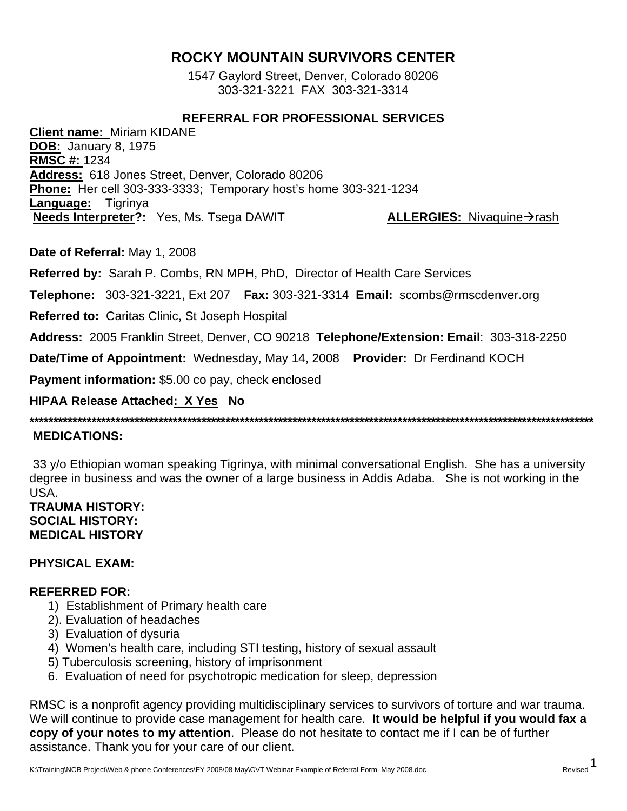# **ROCKY MOUNTAIN SURVIVORS CENTER**

1547 Gaylord Street, Denver, Colorado 80206 303-321-3221 FAX 303-321-3314

# **REFERRAL FOR PROFESSIONAL SERVICES**

**Client name:** Miriam KIDANE **DOB:** January 8, 1975 **RMSC #:** 1234 **Address:** 618 Jones Street, Denver, Colorado 80206 **Phone:** Her cell 303-333-3333; Temporary host's home 303-321-1234 **Language:** Tigrinya **Needs Interpreter?:** Yes, Ms. Tsega DAWIT **ALLERGIES:** Nivaquine  $\rightarrow$  rash

**Date of Referral:** May 1, 2008

**Referred by:** Sarah P. Combs, RN MPH, PhD, Director of Health Care Services

**Telephone:** 303-321-3221, Ext 207 **Fax:** 303-321-3314 **Email:** scombs@rmscdenver.org

**Referred to:** Caritas Clinic, St Joseph Hospital

**Address:** 2005 Franklin Street, Denver, CO 90218 **Telephone/Extension: Email**: 303-318-2250

**Date/Time of Appointment:** Wednesday, May 14, 2008 **Provider:** Dr Ferdinand KOCH

**Payment information:** \$5.00 co pay, check enclosed

# **HIPAA Release Attached: X Yes No**

**\*\*\*\*\*\*\*\*\*\*\*\*\*\*\*\*\*\*\*\*\*\*\*\*\*\*\*\*\*\*\*\*\*\*\*\*\*\*\*\*\*\*\*\*\*\*\*\*\*\*\*\*\*\*\*\*\*\*\*\*\*\*\*\*\*\*\*\*\*\*\*\*\*\*\*\*\*\*\*\*\*\*\*\*\*\*\*\*\*\*\*\*\*\*\*\*\*\*\*\*\*\*\*\*\*\*\*\*\*\*\*\*\*\*\*\*\*\*** 

## **MEDICATIONS:**

 33 y/o Ethiopian woman speaking Tigrinya, with minimal conversational English. She has a university degree in business and was the owner of a large business in Addis Adaba. She is not working in the USA.

## **TRAUMA HISTORY: SOCIAL HISTORY: MEDICAL HISTORY**

## **PHYSICAL EXAM:**

## **REFERRED FOR:**

- 1) Establishment of Primary health care
- 2). Evaluation of headaches
- 3) Evaluation of dysuria
- 4) Women's health care, including STI testing, history of sexual assault
- 5) Tuberculosis screening, history of imprisonment
- 6. Evaluation of need for psychotropic medication for sleep, depression

RMSC is a nonprofit agency providing multidisciplinary services to survivors of torture and war trauma. We will continue to provide case management for health care. **It would be helpful if you would fax a copy of your notes to my attention**. Please do not hesitate to contact me if I can be of further assistance. Thank you for your care of our client.